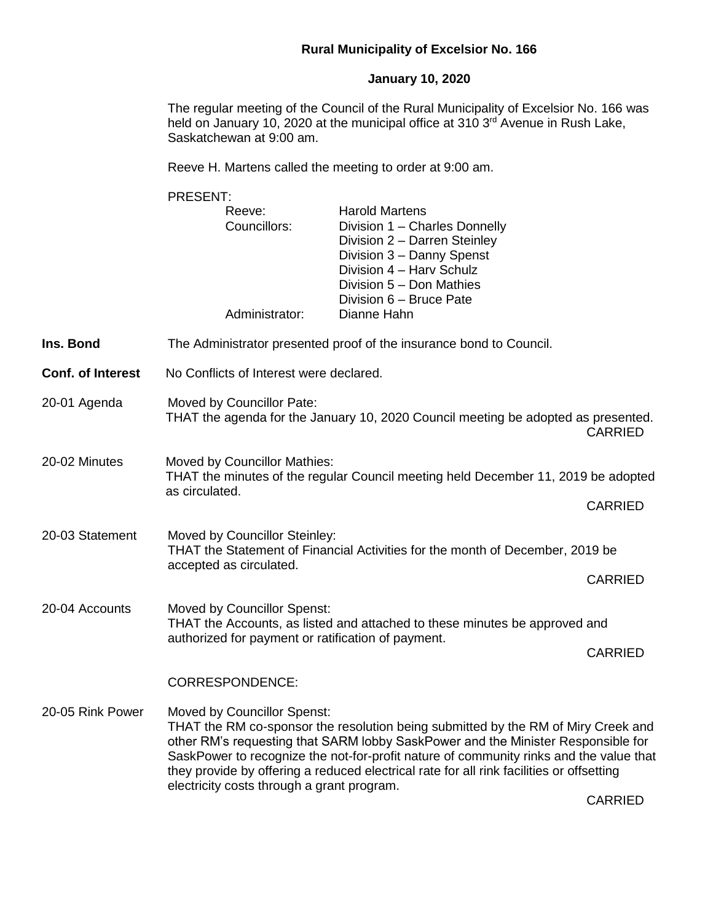## **Rural Municipality of Excelsior No. 166**

## **January 10, 2020**

The regular meeting of the Council of the Rural Municipality of Excelsior No. 166 was held on January 10, 2020 at the municipal office at 310  $3<sup>rd</sup>$  Avenue in Rush Lake, Saskatchewan at 9:00 am.

Reeve H. Martens called the meeting to order at 9:00 am.

PRESENT: Reeve: Harold Martens Councillors: Division 1 – Charles Donnelly Division 2 – Darren Steinley Division 3 – Danny Spenst Division 4 – Harv Schulz Division 5 – Don Mathies Division 6 – Bruce Pate Administrator: Dianne Hahn **Ins. Bond** The Administrator presented proof of the insurance bond to Council. **Conf. of Interest** No Conflicts of Interest were declared. 20-01 Agenda Moved by Councillor Pate: THAT the agenda for the January 10, 2020 Council meeting be adopted as presented. CARRIED 20-02 Minutes Moved by Councillor Mathies: THAT the minutes of the regular Council meeting held December 11, 2019 be adopted as circulated. CARRIED 20-03 Statement Moved by Councillor Steinley: THAT the Statement of Financial Activities for the month of December, 2019 be accepted as circulated. CARRIED 20-04 Accounts Moved by Councillor Spenst: THAT the Accounts, as listed and attached to these minutes be approved and authorized for payment or ratification of payment. CARRIED CORRESPONDENCE: 20-05 Rink Power Moved by Councillor Spenst: THAT the RM co-sponsor the resolution being submitted by the RM of Miry Creek and other RM's requesting that SARM lobby SaskPower and the Minister Responsible for SaskPower to recognize the not-for-profit nature of community rinks and the value that they provide by offering a reduced electrical rate for all rink facilities or offsetting electricity costs through a grant program.

CARRIED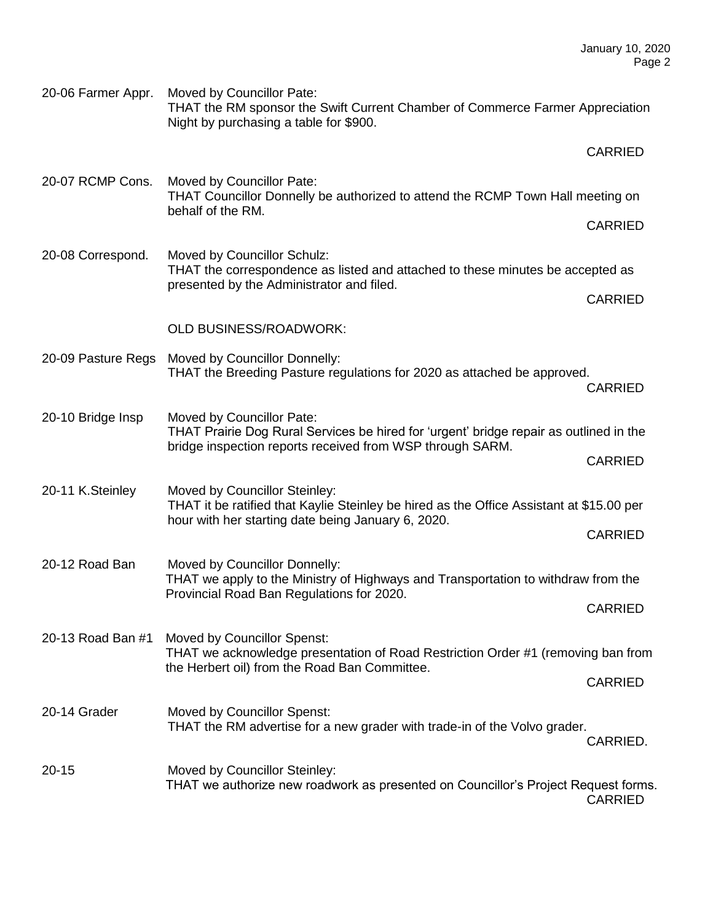20-06 Farmer Appr. Moved by Councillor Pate: THAT the RM sponsor the Swift Current Chamber of Commerce Farmer Appreciation Night by purchasing a table for \$900.

|                    |                                                                                                                                                                                  | <b>CARRIED</b> |
|--------------------|----------------------------------------------------------------------------------------------------------------------------------------------------------------------------------|----------------|
| 20-07 RCMP Cons.   | Moved by Councillor Pate:<br>THAT Councillor Donnelly be authorized to attend the RCMP Town Hall meeting on<br>behalf of the RM.                                                 |                |
|                    |                                                                                                                                                                                  |                |
| 20-08 Correspond.  | Moved by Councillor Schulz:<br>THAT the correspondence as listed and attached to these minutes be accepted as                                                                    |                |
|                    | presented by the Administrator and filed.                                                                                                                                        |                |
|                    | <b>OLD BUSINESS/ROADWORK:</b>                                                                                                                                                    |                |
| 20-09 Pasture Regs | Moved by Councillor Donnelly:<br>THAT the Breeding Pasture regulations for 2020 as attached be approved.                                                                         | <b>CARRIED</b> |
| 20-10 Bridge Insp  | Moved by Councillor Pate:<br>THAT Prairie Dog Rural Services be hired for 'urgent' bridge repair as outlined in the<br>bridge inspection reports received from WSP through SARM. |                |
|                    |                                                                                                                                                                                  |                |
| 20-11 K.Steinley   | Moved by Councillor Steinley:<br>THAT it be ratified that Kaylie Steinley be hired as the Office Assistant at \$15.00 per<br>hour with her starting date being January 6, 2020.  |                |
|                    |                                                                                                                                                                                  |                |
| 20-12 Road Ban     | Moved by Councillor Donnelly:<br>THAT we apply to the Ministry of Highways and Transportation to withdraw from the<br>Provincial Road Ban Regulations for 2020.                  |                |
|                    |                                                                                                                                                                                  |                |
| 20-13 Road Ban #1  | Moved by Councillor Spenst:<br>THAT we acknowledge presentation of Road Restriction Order #1 (removing ban from                                                                  |                |
|                    | the Herbert oil) from the Road Ban Committee.                                                                                                                                    |                |
| 20-14 Grader       | <b>Moved by Councillor Spenst:</b><br>THAT the RM advertise for a new grader with trade-in of the Volvo grader.                                                                  | CARRIED.       |
|                    |                                                                                                                                                                                  |                |

20-15 Moved by Councillor Steinley: THAT we authorize new roadwork as presented on Councillor's Project Request forms. CARRIED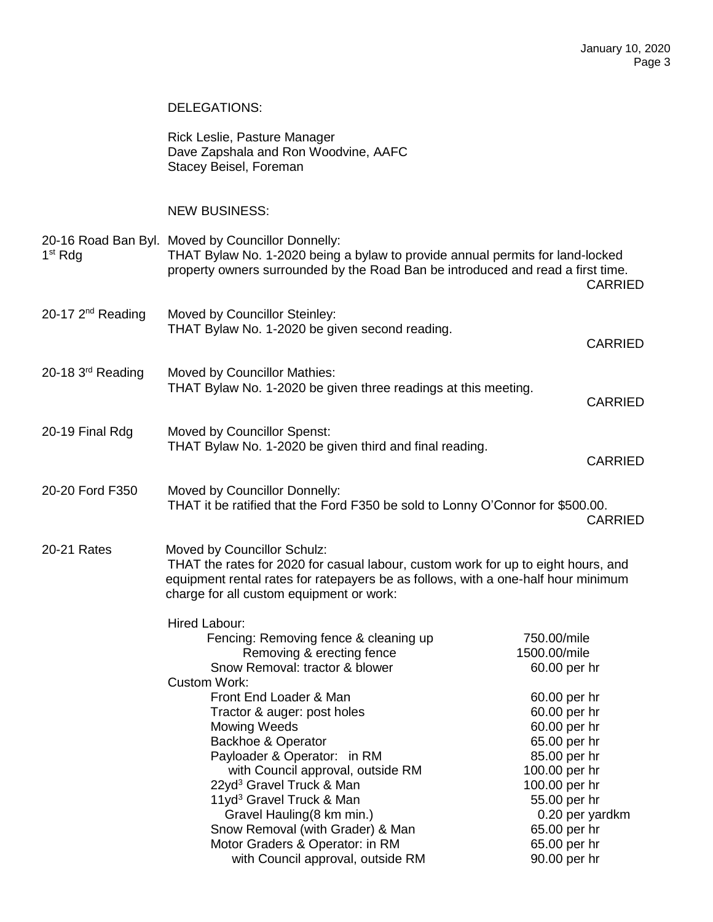## DELEGATIONS:

|                     | Rick Leslie, Pasture Manager<br>Dave Zapshala and Ron Woodvine, AAFC<br>Stacey Beisel, Foreman                                                                                                                                                                                                                                                                                                                                                                                                                         |                                                                                                                                                                                                                                  |  |  |
|---------------------|------------------------------------------------------------------------------------------------------------------------------------------------------------------------------------------------------------------------------------------------------------------------------------------------------------------------------------------------------------------------------------------------------------------------------------------------------------------------------------------------------------------------|----------------------------------------------------------------------------------------------------------------------------------------------------------------------------------------------------------------------------------|--|--|
|                     | <b>NEW BUSINESS:</b>                                                                                                                                                                                                                                                                                                                                                                                                                                                                                                   |                                                                                                                                                                                                                                  |  |  |
| 1 <sup>st</sup> Rdg | 20-16 Road Ban Byl. Moved by Councillor Donnelly:<br>THAT Bylaw No. 1-2020 being a bylaw to provide annual permits for land-locked<br>property owners surrounded by the Road Ban be introduced and read a first time.<br><b>CARRIED</b>                                                                                                                                                                                                                                                                                |                                                                                                                                                                                                                                  |  |  |
| 20-17 $2nd$ Reading | Moved by Councillor Steinley:<br>THAT Bylaw No. 1-2020 be given second reading.                                                                                                                                                                                                                                                                                                                                                                                                                                        | <b>CARRIED</b>                                                                                                                                                                                                                   |  |  |
| 20-18 3rd Reading   | Moved by Councillor Mathies:<br>THAT Bylaw No. 1-2020 be given three readings at this meeting.                                                                                                                                                                                                                                                                                                                                                                                                                         | <b>CARRIED</b>                                                                                                                                                                                                                   |  |  |
| 20-19 Final Rdg     | <b>Moved by Councillor Spenst:</b><br>THAT Bylaw No. 1-2020 be given third and final reading.                                                                                                                                                                                                                                                                                                                                                                                                                          | <b>CARRIED</b>                                                                                                                                                                                                                   |  |  |
| 20-20 Ford F350     | Moved by Councillor Donnelly:<br>THAT it be ratified that the Ford F350 be sold to Lonny O'Connor for \$500.00.<br><b>CARRIED</b>                                                                                                                                                                                                                                                                                                                                                                                      |                                                                                                                                                                                                                                  |  |  |
| 20-21 Rates         | Moved by Councillor Schulz:<br>THAT the rates for 2020 for casual labour, custom work for up to eight hours, and<br>equipment rental rates for ratepayers be as follows, with a one-half hour minimum<br>charge for all custom equipment or work:                                                                                                                                                                                                                                                                      |                                                                                                                                                                                                                                  |  |  |
|                     | Hired Labour:<br>Fencing: Removing fence & cleaning up<br>Removing & erecting fence<br>Snow Removal: tractor & blower<br><b>Custom Work:</b><br>Front End Loader & Man<br>Tractor & auger: post holes<br><b>Mowing Weeds</b><br><b>Backhoe &amp; Operator</b><br>Payloader & Operator: in RM<br>with Council approval, outside RM<br>22yd <sup>3</sup> Gravel Truck & Man<br>11yd <sup>3</sup> Gravel Truck & Man<br>Gravel Hauling (8 km min.)<br>Snow Removal (with Grader) & Man<br>Motor Graders & Operator: in RM | 750.00/mile<br>1500.00/mile<br>60.00 per hr<br>60.00 per hr<br>60.00 per hr<br>60.00 per hr<br>65.00 per hr<br>85.00 per hr<br>100.00 per hr<br>100.00 per hr<br>55.00 per hr<br>0.20 per yardkm<br>65.00 per hr<br>65.00 per hr |  |  |

with Council approval, outside RM 90.00 per hr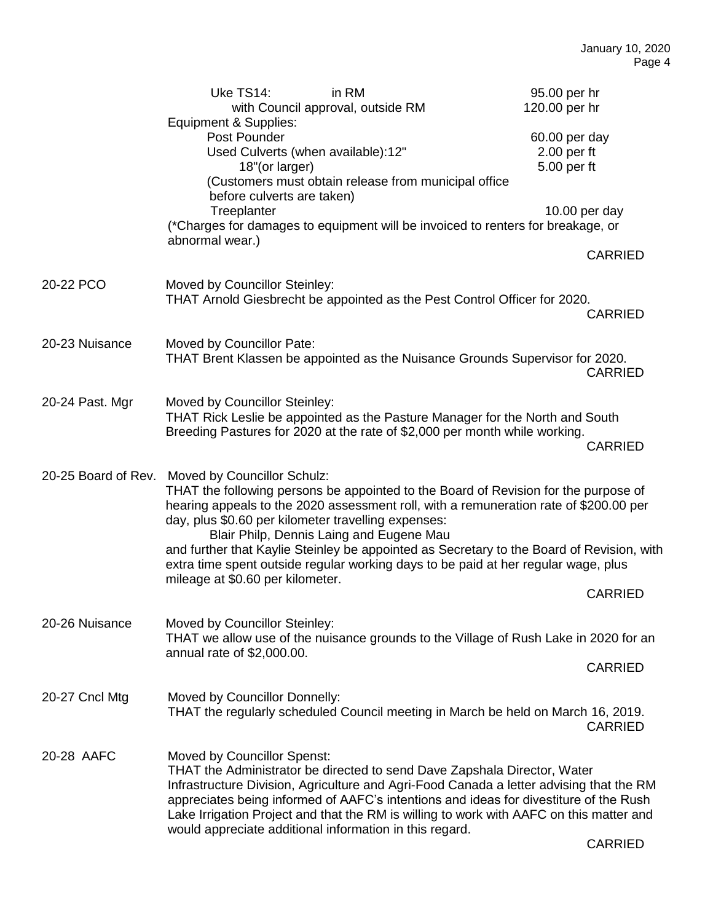|                     | Uke TS14:<br>Equipment & Supplies:                                                                                                                                                                                                                                                                                                                                                                                                                                                                                                    | in RM<br>with Council approval, outside RM                                                                                                                 | 95.00 per hr<br>120.00 per hr                                                                                                                                                                                                                                                             |  |  |
|---------------------|---------------------------------------------------------------------------------------------------------------------------------------------------------------------------------------------------------------------------------------------------------------------------------------------------------------------------------------------------------------------------------------------------------------------------------------------------------------------------------------------------------------------------------------|------------------------------------------------------------------------------------------------------------------------------------------------------------|-------------------------------------------------------------------------------------------------------------------------------------------------------------------------------------------------------------------------------------------------------------------------------------------|--|--|
|                     | Post Pounder<br>18"(or larger)<br>before culverts are taken)                                                                                                                                                                                                                                                                                                                                                                                                                                                                          | Used Culverts (when available):12"<br>(Customers must obtain release from municipal office                                                                 | 60.00 per day<br>$2.00$ per ft<br>5.00 per ft                                                                                                                                                                                                                                             |  |  |
|                     | Treeplanter<br>abnormal wear.)                                                                                                                                                                                                                                                                                                                                                                                                                                                                                                        | (*Charges for damages to equipment will be invoiced to renters for breakage, or                                                                            | 10.00 per day                                                                                                                                                                                                                                                                             |  |  |
|                     |                                                                                                                                                                                                                                                                                                                                                                                                                                                                                                                                       |                                                                                                                                                            | <b>CARRIED</b>                                                                                                                                                                                                                                                                            |  |  |
| 20-22 PCO           | Moved by Councillor Steinley:                                                                                                                                                                                                                                                                                                                                                                                                                                                                                                         | THAT Arnold Giesbrecht be appointed as the Pest Control Officer for 2020.                                                                                  | <b>CARRIED</b>                                                                                                                                                                                                                                                                            |  |  |
| 20-23 Nuisance      | Moved by Councillor Pate:                                                                                                                                                                                                                                                                                                                                                                                                                                                                                                             | THAT Brent Klassen be appointed as the Nuisance Grounds Supervisor for 2020.                                                                               | <b>CARRIED</b>                                                                                                                                                                                                                                                                            |  |  |
| 20-24 Past. Mgr     | Moved by Councillor Steinley:                                                                                                                                                                                                                                                                                                                                                                                                                                                                                                         | THAT Rick Leslie be appointed as the Pasture Manager for the North and South<br>Breeding Pastures for 2020 at the rate of \$2,000 per month while working. | <b>CARRIED</b>                                                                                                                                                                                                                                                                            |  |  |
| 20-25 Board of Rev. | Moved by Councillor Schulz:<br>THAT the following persons be appointed to the Board of Revision for the purpose of<br>hearing appeals to the 2020 assessment roll, with a remuneration rate of \$200.00 per<br>day, plus \$0.60 per kilometer travelling expenses:<br>Blair Philp, Dennis Laing and Eugene Mau<br>and further that Kaylie Steinley be appointed as Secretary to the Board of Revision, with<br>extra time spent outside regular working days to be paid at her regular wage, plus<br>mileage at \$0.60 per kilometer. |                                                                                                                                                            |                                                                                                                                                                                                                                                                                           |  |  |
|                     |                                                                                                                                                                                                                                                                                                                                                                                                                                                                                                                                       |                                                                                                                                                            |                                                                                                                                                                                                                                                                                           |  |  |
|                     |                                                                                                                                                                                                                                                                                                                                                                                                                                                                                                                                       |                                                                                                                                                            | <b>CARRIED</b>                                                                                                                                                                                                                                                                            |  |  |
| 20-26 Nuisance      | Moved by Councillor Steinley:<br>THAT we allow use of the nuisance grounds to the Village of Rush Lake in 2020 for an<br>annual rate of \$2,000.00.                                                                                                                                                                                                                                                                                                                                                                                   |                                                                                                                                                            |                                                                                                                                                                                                                                                                                           |  |  |
|                     |                                                                                                                                                                                                                                                                                                                                                                                                                                                                                                                                       |                                                                                                                                                            | <b>CARRIED</b>                                                                                                                                                                                                                                                                            |  |  |
| 20-27 Cncl Mtg      | Moved by Councillor Donnelly:                                                                                                                                                                                                                                                                                                                                                                                                                                                                                                         |                                                                                                                                                            | THAT the regularly scheduled Council meeting in March be held on March 16, 2019.<br><b>CARRIED</b>                                                                                                                                                                                        |  |  |
| 20-28 AAFC          | Moved by Councillor Spenst:                                                                                                                                                                                                                                                                                                                                                                                                                                                                                                           | THAT the Administrator be directed to send Dave Zapshala Director, Water<br>would appreciate additional information in this regard.                        | Infrastructure Division, Agriculture and Agri-Food Canada a letter advising that the RM<br>appreciates being informed of AAFC's intentions and ideas for divestiture of the Rush<br>Lake Irrigation Project and that the RM is willing to work with AAFC on this matter and<br>$\sqrt{2}$ |  |  |